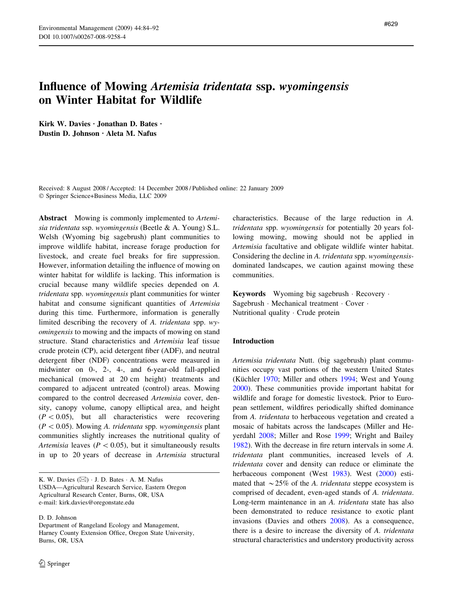# Influence of Mowing Artemisia tridentata ssp. wyomingensis on Winter Habitat for Wildlife

Kirk W. Davies · Jonathan D. Bates · Dustin D. Johnson · Aleta M. Nafus

Received: 8 August 2008 / Accepted: 14 December 2008 / Published online: 22 January 2009 Springer Science+Business Media, LLC 2009

Abstract Mowing is commonly implemented to Artemisia tridentata ssp. wyomingensis (Beetle & A. Young) S.L. Welsh (Wyoming big sagebrush) plant communities to improve wildlife habitat, increase forage production for livestock, and create fuel breaks for fire suppression. However, information detailing the influence of mowing on winter habitat for wildlife is lacking. This information is crucial because many wildlife species depended on A. tridentata spp. wyomingensis plant communities for winter habitat and consume significant quantities of Artemisia during this time. Furthermore, information is generally limited describing the recovery of A. tridentata spp. wyomingensis to mowing and the impacts of mowing on stand structure. Stand characteristics and Artemisia leaf tissue crude protein (CP), acid detergent fiber (ADF), and neutral detergent fiber (NDF) concentrations were measured in midwinter on 0-, 2-, 4-, and 6-year-old fall-applied mechanical (mowed at 20 cm height) treatments and compared to adjacent untreated (control) areas. Mowing compared to the control decreased Artemisia cover, density, canopy volume, canopy elliptical area, and height  $(P<0.05)$ , but all characteristics were recovering  $(P<0.05)$ . Mowing A. tridentata spp. wyomingensis plant communities slightly increases the nutritional quality of Artemisia leaves ( $P < 0.05$ ), but it simultaneously results in up to 20 years of decrease in Artemisia structural

K. W. Davies  $(\boxtimes)$  · J. D. Bates · A. M. Nafus USDA—Agricultural Research Service, Eastern Oregon Agricultural Research Center, Burns, OR, USA e-mail: kirk.davies@oregonstate.edu

D. D. Johnson

Department of Rangeland Ecology and Management, Harney County Extension Office, Oregon State University, Burns, OR, USA

characteristics. Because of the large reduction in A. tridentata spp. wyomingensis for potentially 20 years following mowing, mowing should not be applied in Artemisia facultative and obligate wildlife winter habitat. Considering the decline in A. tridentata spp. wyomingensisdominated landscapes, we caution against mowing these communities.

Keywords Wyoming big sagebrush · Recovery · Sagebrush · Mechanical treatment · Cover · Nutritional quality · Crude protein

## Introduction

Artemisia tridentata Nutt. (big sagebrush) plant communities occupy vast portions of the western United States (Küchler [1970](#page-7-0); Miller and others [1994;](#page-7-0) West and Young [2000](#page-8-0)). These communities provide important habitat for wildlife and forage for domestic livestock. Prior to European settlement, wildfires periodically shifted dominance from A. tridentata to herbaceous vegetation and created a mosaic of habitats across the landscapes (Miller and Heyerdahl [2008](#page-7-0); Miller and Rose [1999;](#page-7-0) Wright and Bailey [1982](#page-8-0)). With the decrease in fire return intervals in some A. tridentata plant communities, increased levels of A. tridentata cover and density can reduce or eliminate the herbaceous component (West [1983\)](#page-8-0). West ([2000\)](#page-8-0) estimated that  $\sim$  25% of the A. tridentata steppe ecosystem is comprised of decadent, even-aged stands of A. tridentata. Long-term maintenance in an A. tridentata state has also been demonstrated to reduce resistance to exotic plant invasions (Davies and others [2008](#page-7-0)). As a consequence, there is a desire to increase the diversity of A. tridentata structural characteristics and understory productivity across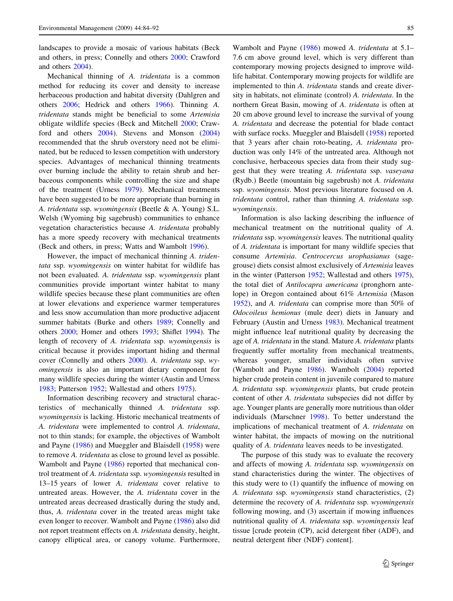landscapes to provide a mosaic of various habitats (Beck and others, in press; Connelly and others [2000](#page-7-0); Crawford and others [2004\)](#page-7-0).

Mechanical thinning of A. tridentata is a common method for reducing its cover and density to increase herbaceous production and habitat diversity (Dahlgren and others [2006](#page-7-0); Hedrick and others [1966](#page-7-0)). Thinning A. tridentata stands might be beneficial to some Artemisia obligate wildlife species (Beck and Mitchell [2000;](#page-7-0) Crawford and others [2004\)](#page-7-0). Stevens and Monson ([2004\)](#page-7-0) recommended that the shrub overstory need not be eliminated, but be reduced to lessen competition with understory species. Advantages of mechanical thinning treatments over burning include the ability to retain shrub and herbaceous components while controlling the size and shape of the treatment (Urness [1979](#page-7-0)). Mechanical treatments have been suggested to be more appropriate than burning in A. tridentata ssp. wyomingensis (Beetle & A. Young) S.L. Welsh (Wyoming big sagebrush) communities to enhance vegetation characteristics because A. tridentata probably has a more speedy recovery with mechanical treatments (Beck and others, in press; Watts and Wambolt [1996](#page-7-0)).

However, the impact of mechanical thinning A. tridentata ssp. wyomingensis on winter habitat for wildlife has not been evaluated. A. tridentata ssp. wyomingensis plant communities provide important winter habitat to many wildlife species because these plant communities are often at lower elevations and experience warmer temperatures and less snow accumulation than more productive adjacent summer habitats (Burke and others [1989](#page-7-0); Connelly and others [2000;](#page-7-0) Homer and others [1993](#page-7-0); Shiflet [1994](#page-7-0)). The length of recovery of A. tridentata ssp. wyomingensis is critical because it provides important hiding and thermal cover (Connelly and others [2000\)](#page-7-0). A. tridentata ssp. wyomingensis is also an important dietary component for many wildlife species during the winter (Austin and Urness [1983;](#page-7-0) Patterson [1952;](#page-7-0) Wallestad and others [1975\)](#page-7-0).

Information describing recovery and structural characteristics of mechanically thinned A. tridentata ssp. wyomingensis is lacking. Historic mechanical treatments of A. tridentata were implemented to control A. tridentata, not to thin stands; for example, the objectives of Wambolt and Payne [\(1986\)](#page-7-0) and Mueggler and Blaisdell [\(1958](#page-7-0)) were to remove A. tridentata as close to ground level as possible. Wambolt and Payne ([1986](#page-7-0)) reported that mechanical control treatment of A. tridentata ssp. wyomingensis resulted in 13–15 years of lower A. tridentata cover relative to untreated areas. However, the A. tridentata cover in the untreated areas decreased drastically during the study and, thus, A. tridentata cover in the treated areas might take even longer to recover. Wambolt and Payne [\(1986](#page-7-0)) also did not report treatment effects on A. tridentata density, height, canopy elliptical area, or canopy volume. Furthermore,

Wambolt and Payne [\(1986\)](#page-7-0) mowed A. tridentata at 5.1– 7.6 cm above ground level, which is very different than contemporary mowing projects designed to improve wildlife habitat. Contemporary mowing projects for wildlife are implemented to thin A. tridentata stands and create diversity in habitats, not eliminate (control) A. tridentata. In the northern Great Basin, mowing of A. tridentata is often at 20 cm above ground level to increase the survival of young A. tridentata and decrease the potential for blade contact with surface rocks. Mueggler and Blaisdell ([1958\)](#page-7-0) reported that 3 years after chain roto-beating, A. tridentata production was only 14% of the untreated area. Although not conclusive, herbaceous species data from their study suggest that they were treating A. tridentata ssp. vaseyana (Rydb.) Beetle (mountain big sagebrush) not A. tridentata ssp. wyomingensis. Most previous literature focused on A. tridentata control, rather than thinning A. tridentata ssp. wyomingensis.

Information is also lacking describing the influence of mechanical treatment on the nutritional quality of A. tridentata ssp. wyomingensis leaves. The nutritional quality of A. tridentata is important for many wildlife species that consume Artemisia. Centrocercus urophasianus (sagegrouse) diets consist almost exclusively of Artemisia leaves in the winter (Patterson [1952](#page-7-0); Wallestad and others [1975](#page-7-0)), the total diet of Antilocapra americana (pronghorn antelope) in Oregon contained about 61% Artemisia (Mason [1952](#page-7-0)), and A. tridentata can comprise more than 50% of Odocoileus hemionus (mule deer) diets in January and February (Austin and Urness [1983](#page-7-0)). Mechanical treatment might influence leaf nutritional quality by decreasing the age of A. tridentata in the stand. Mature A. tridentata plants frequently suffer mortality from mechanical treatments, whereas younger, smaller individuals often survive (Wambolt and Payne [1986](#page-7-0)). Wambolt ([2004\)](#page-7-0) reported higher crude protein content in juvenile compared to mature A. tridentata ssp. wyomingensis plants, but crude protein content of other A. tridentata subspecies did not differ by age. Younger plants are generally more nutritious than older individuals (Marschner [1998](#page-7-0)). To better understand the implications of mechanical treatment of A. tridentata on winter habitat, the impacts of mowing on the nutritional quality of A. tridentata leaves needs to be investigated.

The purpose of this study was to evaluate the recovery and affects of mowing A. tridentata ssp. wyomingensis on stand characteristics during the winter. The objectives of this study were to (1) quantify the influence of mowing on A. tridentata ssp. wyomingensis stand characteristics, (2) determine the recovery of A. tridentata ssp. wyomingensis following mowing, and (3) ascertain if mowing influences nutritional quality of A. tridentata ssp. wyomingensis leaf tissue [crude protein (CP), acid detergent fiber (ADF), and neutral detergent fiber (NDF) content].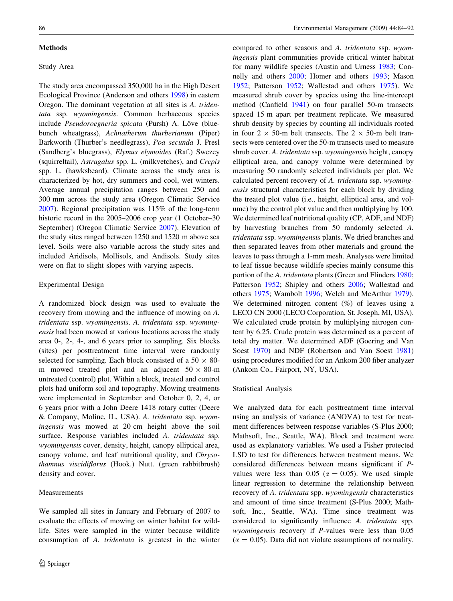### **Methods**

# Study Area

The study area encompassed 350,000 ha in the High Desert Ecological Province (Anderson and others [1998](#page-7-0)) in eastern Oregon. The dominant vegetation at all sites is A. tridentata ssp. wyomingensis. Common herbaceous species include Pseudoroegneria spicata (Pursh) A. Löve (bluebunch wheatgrass), Achnatherum thurberianum (Piper) Barkworth (Thurber's needlegrass), Poa secunda J. Presl (Sandberg's bluegrass), Elymus elymoides (Raf.) Swezey (squirreltail), Astragalus spp. L. (milkvetches), and Crepis spp. L. (hawksbeard). Climate across the study area is characterized by hot, dry summers and cool, wet winters. Average annual precipitation ranges between 250 and 300 mm across the study area (Oregon Climatic Service [2007\)](#page-7-0). Regional precipitation was 115% of the long-term historic record in the 2005–2006 crop year (1 October–30) September) (Oregon Climatic Service [2007](#page-7-0)). Elevation of the study sites ranged between 1250 and 1520 m above sea level. Soils were also variable across the study sites and included Aridisols, Mollisols, and Andisols. Study sites were on flat to slight slopes with varying aspects.

## Experimental Design

A randomized block design was used to evaluate the recovery from mowing and the influence of mowing on A. tridentata ssp. wyomingensis. A. tridentata ssp. wyomingensis had been mowed at various locations across the study area 0-, 2-, 4-, and 6 years prior to sampling. Six blocks (sites) per posttreatment time interval were randomly selected for sampling. Each block consisted of a  $50 \times 80$ m mowed treated plot and an adjacent  $50 \times 80$ -m untreated (control) plot. Within a block, treated and control plots had uniform soil and topography. Mowing treatments were implemented in September and October 0, 2, 4, or 6 years prior with a John Deere 1418 rotary cutter (Deere & Company, Moline, IL, USA). A. tridentata ssp. wyomingensis was mowed at 20 cm height above the soil surface. Response variables included A. tridentata ssp. wyomingensis cover, density, height, canopy elliptical area, canopy volume, and leaf nutritional quality, and Chrysothamnus viscidiflorus (Hook.) Nutt. (green rabbitbrush) density and cover.

## Measurements

We sampled all sites in January and February of 2007 to evaluate the effects of mowing on winter habitat for wildlife. Sites were sampled in the winter because wildlife consumption of A. tridentata is greatest in the winter compared to other seasons and A. tridentata ssp. wyomingensis plant communities provide critical winter habitat for many wildlife species (Austin and Urness [1983;](#page-7-0) Connelly and others [2000;](#page-7-0) Homer and others [1993](#page-7-0); Mason [1952](#page-7-0); Patterson [1952;](#page-7-0) Wallestad and others [1975](#page-7-0)). We measured shrub cover by species using the line-intercept method (Canfield [1941](#page-7-0)) on four parallel 50-m transects spaced 15 m apart per treatment replicate. We measured shrub density by species by counting all individuals rooted in four 2  $\times$  50-m belt transects. The 2  $\times$  50-m belt transects were centered over the 50-m transects used to measure shrub cover. A. tridentata ssp. wyomingensis height, canopy elliptical area, and canopy volume were determined by measuring 50 randomly selected individuals per plot. We calculated percent recovery of A. tridentata ssp. wyomingensis structural characteristics for each block by dividing the treated plot value (i.e., height, elliptical area, and volume) by the control plot value and then multiplying by 100. We determined leaf nutritional quality (CP, ADF, and NDF) by harvesting branches from 50 randomly selected A. tridentata ssp. wyomingensis plants. We dried branches and then separated leaves from other materials and ground the leaves to pass through a 1-mm mesh. Analyses were limited to leaf tissue because wildlife species mainly consume this portion of the A. tridentata plants (Green and Flinders [1980](#page-7-0); Patterson [1952;](#page-7-0) Shipley and others [2006;](#page-7-0) Wallestad and others [1975](#page-7-0); Wambolt [1996](#page-7-0); Welch and McArthur [1979](#page-8-0)). We determined nitrogen content  $(\%)$  of leaves using a LECO CN 2000 (LECO Corporation, St. Joseph, MI, USA). We calculated crude protein by multiplying nitrogen content by 6.25. Crude protein was determined as a percent of total dry matter. We determined ADF (Goering and Van Soest [1970\)](#page-7-0) and NDF (Robertson and Van Soest [1981\)](#page-7-0) using procedures modified for an Ankom 200 fiber analyzer (Ankom Co., Fairport, NY, USA).

## Statistical Analysis

We analyzed data for each posttreatment time interval using an analysis of variance (ANOVA) to test for treatment differences between response variables (S-Plus 2000; Mathsoft, Inc., Seattle, WA). Block and treatment were used as explanatory variables. We used a Fisher protected LSD to test for differences between treatment means. We considered differences between means significant if Pvalues were less than 0.05 ( $\alpha = 0.05$ ). We used simple linear regression to determine the relationship between recovery of A. tridentata spp. wyomingensis characteristics and amount of time since treatment (S-Plus 2000; Mathsoft, Inc., Seattle, WA). Time since treatment was considered to significantly influence A. tridentata spp. wyomingensis recovery if P-values were less than 0.05  $(\alpha = 0.05)$ . Data did not violate assumptions of normality.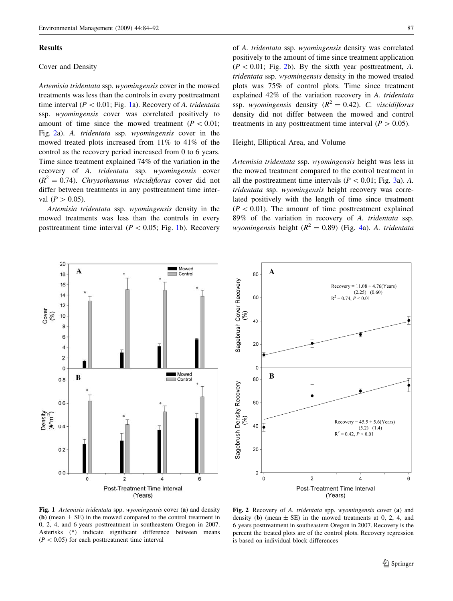#### Results

## Cover and Density

Artemisia tridentata ssp. wyomingensis cover in the mowed treatments was less than the controls in every posttreatment time interval ( $P < 0.01$ ; Fig. 1a). Recovery of A. tridentata ssp. wyomingensis cover was correlated positively to amount of time since the mowed treatment ( $P < 0.01$ ; Fig. 2a). A. tridentata ssp. wyomingensis cover in the mowed treated plots increased from 11% to 41% of the control as the recovery period increased from 0 to 6 years. Time since treatment explained 74% of the variation in the recovery of A. tridentata ssp. wyomingensis cover  $(R^2 = 0.74)$ . Chrysothamnus viscidiflorus cover did not differ between treatments in any posttreatment time interval ( $P > 0.05$ ).

Artemisia tridentata ssp. wyomingensis density in the mowed treatments was less than the controls in every posttreatment time interval ( $P \lt 0.05$ ; Fig. 1b). Recovery of A. tridentata ssp. wyomingensis density was correlated positively to the amount of time since treatment application  $(P<0.01;$  Fig. 2b). By the sixth year posttreatment, A. tridentata ssp. wyomingensis density in the mowed treated plots was 75% of control plots. Time since treatment explained 42% of the variation recovery in A. tridentata ssp. wyomingensis density  $(R^2 = 0.42)$ . C. viscidiflorus density did not differ between the mowed and control treatments in any posttreatment time interval ( $P > 0.05$ ).

#### Height, Elliptical Area, and Volume

Artemisia tridentata ssp. wyomingensis height was less in the mowed treatment compared to the control treatment in all the posttreatment time intervals ( $P < 0.01$ ; Fig. [3](#page-4-0)a). A. tridentata ssp. wyomingensis height recovery was correlated positively with the length of time since treatment  $(P < 0.01)$ . The amount of time posttreatment explained 89% of the variation in recovery of A. tridentata ssp. wyomingensis height ( $R^2 = 0.89$ ) (Fig. [4](#page-4-0)a). A. tridentata





Fig. 1 Artemisia tridentata spp. wyomingensis cover (a) and density (b) (mean  $\pm$  SE) in the mowed compared to the control treatment in 0, 2, 4, and 6 years posttreatment in southeastern Oregon in 2007. Asterisks (\*) indicate significant difference between means  $(P<0.05)$  for each posttreatment time interval

Fig. 2 Recovery of A. tridentata spp. wyomingensis cover (a) and density (b) (mean  $\pm$  SE) in the mowed treatments at 0, 2, 4, and 6 years posttreatment in southeastern Oregon in 2007. Recovery is the percent the treated plots are of the control plots. Recovery regression is based on individual block differences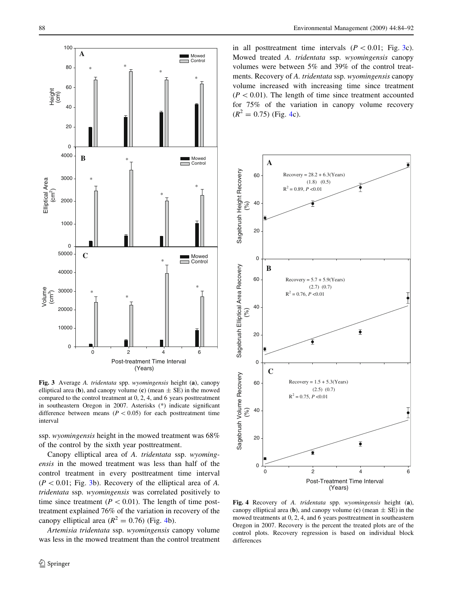<span id="page-4-0"></span>

Fig. 3 Average A. tridentata spp. wyomingensis height (a), canopy elliptical area (b), and canopy volume (c) (mean  $\pm$  SE) in the mowed compared to the control treatment at 0, 2, 4, and 6 years posttreatment in southeastern Oregon in 2007. Asterisks (\*) indicate significant difference between means ( $P < 0.05$ ) for each posttreatment time interval

ssp. wyomingensis height in the mowed treatment was 68% of the control by the sixth year posttreatment.

Canopy elliptical area of A. tridentata ssp. wyomingensis in the mowed treatment was less than half of the control treatment in every posttreatment time interval  $(P<0.01;$  Fig. 3b). Recovery of the elliptical area of A. tridentata ssp. wyomingensis was correlated positively to time since treatment ( $P < 0.01$ ). The length of time posttreatment explained 76% of the variation in recovery of the canopy elliptical area  $(R^2 = 0.76)$  (Fig. 4b).

Artemisia tridentata ssp. wyomingensis canopy volume was less in the mowed treatment than the control treatment in all posttreatment time intervals  $(P < 0.01;$  Fig. 3c). Mowed treated A. tridentata ssp. wyomingensis canopy volumes were between 5% and 39% of the control treatments. Recovery of A. tridentata ssp. wyomingensis canopy volume increased with increasing time since treatment  $(P < 0.01)$ . The length of time since treatment accounted for 75% of the variation in canopy volume recovery  $(R^2 = 0.75)$  (Fig. 4c).



Fig. 4 Recovery of A. tridentata spp. wyomingensis height (a), canopy elliptical area (b), and canopy volume (c) (mean  $\pm$  SE) in the mowed treatments at 0, 2, 4, and 6 years posttreatment in southeastern Oregon in 2007. Recovery is the percent the treated plots are of the control plots. Recovery regression is based on individual block differences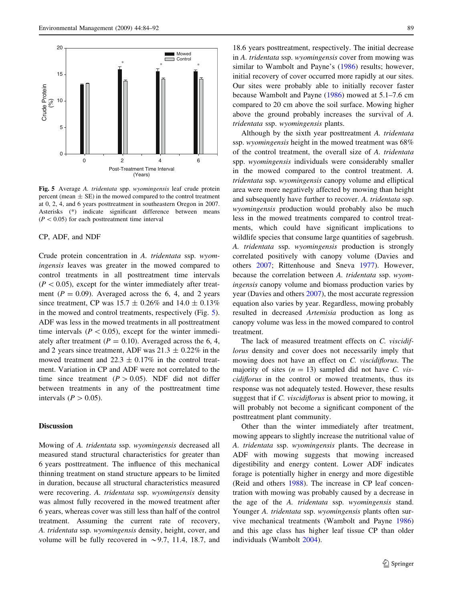

Fig. 5 Average A. tridentata spp. wyomingensis leaf crude protein percent (mean  $\pm$  SE) in the mowed compared to the control treatment at 0, 2, 4, and 6 years posttreatment in southeastern Oregon in 2007. Asterisks (\*) indicate significant difference between means  $(P<0.05)$  for each posttreatment time interval

## CP, ADF, and NDF

Crude protein concentration in A. tridentata ssp. wyomingensis leaves was greater in the mowed compared to control treatments in all posttreatment time intervals  $(P<0.05)$ , except for the winter immediately after treatment ( $P = 0.09$ ). Averaged across the 6, 4, and 2 years since treatment, CP was  $15.7 \pm 0.26\%$  and  $14.0 \pm 0.13\%$ in the mowed and control treatments, respectively (Fig. 5). ADF was less in the mowed treatments in all posttreatment time intervals ( $P < 0.05$ ), except for the winter immediately after treatment ( $P = 0.10$ ). Averaged across the 6, 4, and 2 years since treatment, ADF was  $21.3 \pm 0.22\%$  in the mowed treatment and  $22.3 \pm 0.17\%$  in the control treatment. Variation in CP and ADF were not correlated to the time since treatment  $(P > 0.05)$ . NDF did not differ between treatments in any of the posttreatment time intervals ( $P > 0.05$ ).

## Discussion

Mowing of A. tridentata ssp. wyomingensis decreased all measured stand structural characteristics for greater than 6 years posttreatment. The influence of this mechanical thinning treatment on stand structure appears to be limited in duration, because all structural characteristics measured were recovering. A. tridentata ssp. wyomingensis density was almost fully recovered in the mowed treatment after 6 years, whereas cover was still less than half of the control treatment. Assuming the current rate of recovery, A. tridentata ssp. wyomingensis density, height, cover, and volume will be fully recovered in  $\sim$  9.7, 11.4, 18.7, and

18.6 years posttreatment, respectively. The initial decrease in A. tridentata ssp. wyomingensis cover from mowing was similar to Wambolt and Payne's ([1986](#page-7-0)) results; however, initial recovery of cover occurred more rapidly at our sites. Our sites were probably able to initially recover faster because Wambolt and Payne ([1986\)](#page-7-0) mowed at 5.1–7.6 cm compared to 20 cm above the soil surface. Mowing higher above the ground probably increases the survival of A. tridentata ssp. wyomingensis plants.

Although by the sixth year posttreatment A. tridentata ssp. wyomingensis height in the mowed treatment was 68% of the control treatment, the overall size of A. tridentata spp. wyomingensis individuals were considerably smaller in the mowed compared to the control treatment. A. tridentata ssp. wyomingensis canopy volume and elliptical area were more negatively affected by mowing than height and subsequently have further to recover. A. tridentata ssp. wyomingensis production would probably also be much less in the mowed treatments compared to control treatments, which could have significant implications to wildlife species that consume large quantities of sagebrush. A. tridentata ssp. wyomingensis production is strongly correlated positively with canopy volume (Davies and others [2007](#page-7-0); Rittenhouse and Sneva [1977\)](#page-7-0). However, because the correlation between A. tridentata ssp. wyomingensis canopy volume and biomass production varies by year (Davies and others [2007\)](#page-7-0), the most accurate regression equation also varies by year. Regardless, mowing probably resulted in decreased Artemisia production as long as canopy volume was less in the mowed compared to control treatment.

The lack of measured treatment effects on C. viscidiflorus density and cover does not necessarily imply that mowing does not have an effect on C. viscidiflorus. The majority of sites  $(n = 13)$  sampled did not have C. viscidiflorus in the control or mowed treatments, thus its response was not adequately tested. However, these results suggest that if C. *viscidiflorus* is absent prior to mowing, it will probably not become a significant component of the posttreatment plant community.

Other than the winter immediately after treatment, mowing appears to slightly increase the nutritional value of A. tridentata ssp. wyomingensis plants. The decrease in ADF with mowing suggests that mowing increased digestibility and energy content. Lower ADF indicates forage is potentially higher in energy and more digestible (Reid and others [1988](#page-7-0)). The increase in CP leaf concentration with mowing was probably caused by a decrease in the age of the A. tridentata ssp. wyomingensis stand. Younger A. tridentata ssp. wyomingensis plants often survive mechanical treatments (Wambolt and Payne [1986\)](#page-7-0) and this age class has higher leaf tissue CP than older individuals (Wambolt [2004\)](#page-7-0).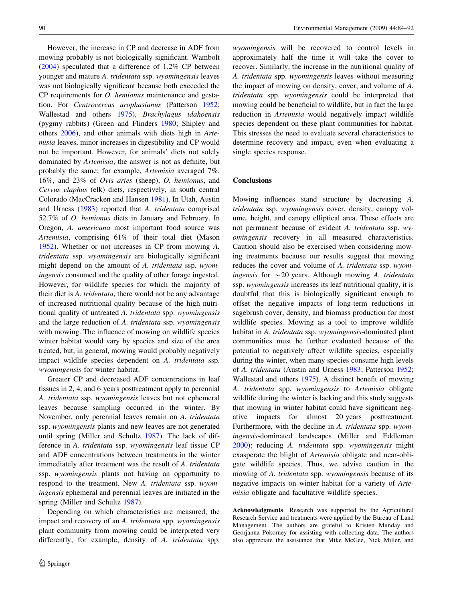However, the increase in CP and decrease in ADF from mowing probably is not biologically significant. Wambolt [\(2004](#page-7-0)) speculated that a difference of 1.2% CP between younger and mature A. tridentata ssp. wyomingensis leaves was not biologically significant because both exceeded the CP requirements for O. hemionus maintenance and gestation. For Centrocercus urophasianus (Patterson [1952](#page-7-0); Wallestad and others [1975](#page-7-0)), Brachylagus idahoensis (pygmy rabbits) (Green and Flinders [1980;](#page-7-0) Shipley and others [2006\)](#page-7-0), and other animals with diets high in Artemisia leaves, minor increases in digestibility and CP would not be important. However, for animals' diets not solely dominated by Artemisia, the answer is not as definite, but probably the same; for example, Artemisia averaged 7%, 16%, and 23% of Ovis aries (sheep), O. hemionus, and Cervus elaphus (elk) diets, respectively, in south central Colorado (MacCracken and Hansen [1981](#page-7-0)). In Utah, Austin and Urness [\(1983](#page-7-0)) reported that A. tridentata comprised 52.7% of O. hemionus diets in January and February. In Oregon, A. americana most important food source was Artemisia, comprising 61% of their total diet (Mason [1952\)](#page-7-0). Whether or not increases in CP from mowing A. tridentata ssp. wyomingensis are biologically significant might depend on the amount of A. tridentata ssp. wyomingensis consumed and the quality of other forage ingested. However, for wildlife species for which the majority of their diet is A. tridentata, there would not be any advantage of increased nutritional quality because of the high nutritional quality of untreated A. tridentata spp. wyomingensis and the large reduction of A. tridentata ssp. wyomingensis with mowing. The influence of mowing on wildlife species winter habitat would vary by species and size of the area treated, but, in general, mowing would probably negatively impact wildlife species dependent on A. tridentata ssp. wyomingensis for winter habitat.

Greater CP and decreased ADF concentrations in leaf tissues in 2, 4, and 6 years posttreatment apply to perennial A. tridentata ssp. wyomingensis leaves but not ephemeral leaves because sampling occurred in the winter. By November, only perennial leaves remain on A. tridentata ssp. wyomingensis plants and new leaves are not generated until spring (Miller and Schultz [1987\)](#page-7-0). The lack of difference in A. tridentata ssp. wyomingensis leaf tissue CP and ADF concentrations between treatments in the winter immediately after treatment was the result of A. tridentata ssp. wyomingensis plants not having an opportunity to respond to the treatment. New A. tridentata ssp. wyomingensis ephemeral and perennial leaves are initiated in the spring (Miller and Schultz [1987](#page-7-0)).

Depending on which characteristics are measured, the impact and recovery of an A. tridentata spp. wyomingensis plant community from mowing could be interpreted very differently; for example, density of A. tridentata spp.

wyomingensis will be recovered to control levels in approximately half the time it will take the cover to recover. Similarly, the increase in the nutritional quality of A. tridentata spp. wyomingensis leaves without measuring the impact of mowing on density, cover, and volume of A. tridentata spp. wyomingensis could be interpreted that mowing could be beneficial to wildlife, but in fact the large reduction in Artemisia would negatively impact wildlife species dependent on these plant communities for habitat. This stresses the need to evaluate several characteristics to determine recovery and impact, even when evaluating a single species response.

## Conclusions

Mowing influences stand structure by decreasing A. tridentata ssp. wyomingensis cover, density, canopy volume, height, and canopy elliptical area. These effects are not permanent because of evident A. tridentata ssp. wyomingensis recovery in all measured characteristics. Caution should also be exercised when considering mowing treatments because our results suggest that mowing reduces the cover and volume of A. tridentata ssp. wyomingensis for  $\sim$  20 years. Although mowing A. tridentata ssp. wyomingensis increases its leaf nutritional quality, it is doubtful that this is biologically significant enough to offset the negative impacts of long-term reductions in sagebrush cover, density, and biomass production for most wildlife species. Mowing as a tool to improve wildlife habitat in A. tridentata ssp. wyomingensis-dominated plant communities must be further evaluated because of the potential to negatively affect wildlife species, especially during the winter, when many species consume high levels of A. tridentata (Austin and Urness [1983;](#page-7-0) Patterson [1952](#page-7-0); Wallestad and others [1975\)](#page-7-0). A distinct benefit of mowing A. tridentata spp. wyomingensis to Artemisia obligate wildlife during the winter is lacking and this study suggests that mowing in winter habitat could have significant negative impacts for almost 20 years posttreatment. Furthermore, with the decline in A. tridentata spp. wyomingensis-dominated landscapes (Miller and Eddleman [2000](#page-7-0)); reducing A. tridentata spp. wyomingensis might exasperate the blight of Artemisia obligate and near-obligate wildlife species. Thus, we advise caution in the mowing of A. tridentata spp. wyomingensis because of its negative impacts on winter habitat for a variety of Artemisia obligate and facultative wildlife species.

Acknowledgments Research was supported by the Agricultural Research Service and treatments were applied by the Bureau of Land Management. The authors are grateful to Kristen Munday and Georjanna Pokorney for assisting with collecting data. The authors also appreciate the assistance that Mike McGee, Nick Miller, and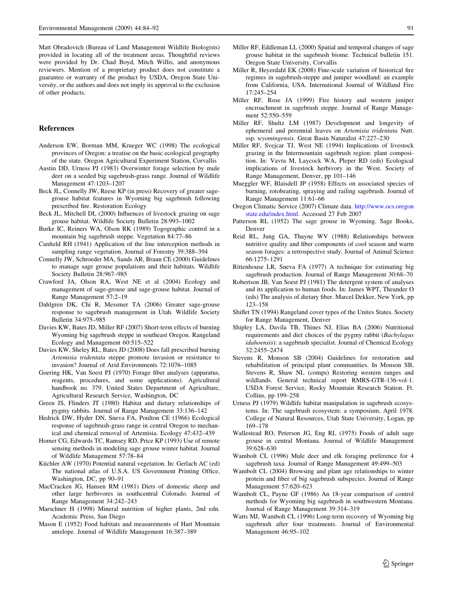<span id="page-7-0"></span>Matt Obradovich (Bureau of Land Management Wildlife Biologists) provided in locating all of the treatment areas. Thoughtful reviews were provided by Dr. Chad Boyd, Mitch Willis, and anonymous reviewers. Mention of a proprietary product does not constitute a guarantee or warranty of the product by USDA, Oregon State University, or the authors and does not imply its approval to the exclusion of other products.

## References

- Anderson EW, Borman MM, Krueger WC (1998) The ecological provinces of Oregon: a treatise on the basic ecological geography of the state. Oregon Agricultural Experiment Station, Corvallis
- Austin DD, Urness PJ (1983) Overwinter forage selection by mule deer on a seeded big sagebrush-grass range. Journal of Wildlife Management 47:1203–1207
- Beck JL, Connelly JW, Reese KP (in press) Recovery of greater sagegrouse habitat features in Wyoming big sagebrush following prescribed fire. Restoration Ecology
- Beck JL, Mitchell DL (2000) Influences of livestock grazing on sage grouse habitat. Wildlife Society Bulletin 28:993–1002
- Burke IC, Reiners WA, Olson RK (1989) Togographic control in a mountain big sagebrush steppe. Vegetation 84:77–86
- Canfield RH (1941) Application of the line interception methods in sampling range vegetation. Journal of Forestry 39:388–394
- Connelly JW, Schroeder MA, Sands AR, Braun CE (2000) Guidelines to manage sage grouse populations and their habitats. Wildlife Society Bulletin 28:967–985
- Crawford JA, Olson RA, West NE et al (2004) Ecology and management of sage-grouse and sage-grouse habitat. Journal of Range Management 57:2–19
- Dahlgren DK, Chi R, Messmer TA (2006) Greater sage-grouse response to sagebrush management in Utah. Wildlife Society Bulletin 34:975–985
- Davies KW, Bates JD, Miller RF (2007) Short-term effects of burning Wyoming big sagebrush steppe in southeast Oregon. Rangeland Ecology and Management 60:515–522
- Davies KW, Sheley RL, Bates JD (2008) Does fall prescribed burning Artemisia tridentata steppe promote invasion or resistance to invasion? Journal of Arid Environments 72:1076–1085
- Goering HK, Van Soest PJ (1970) Forage fiber analyses (apparatus, reagents, procedures, and some applications). Agricultural handbook no. 379. United States Department of Agriculture, Agricultural Research Service, Washington, DC
- Green JS, Flinders JT (1980) Habitat and dietary relationships of pygmy rabbits. Journal of Range Management 33:136–142
- Hedrick DW, Hyder DN, Sneva FA, Poulton CE (1966) Ecological response of sagebrush-grass range in central Oregon to mechanical and chemical removal of Artemisia. Ecology 47:432–439
- Homer CG, Edwards TC, Ramsey RD, Price KP (1993) Use of remote sensing methods in modeling sage grouse winter habitat. Journal of Wildlife Management 57:78–84
- Küchler AW (1970) Potential natural vegetation. In: Gerlach AC (ed) The national atlas of U.S.A. US Government Printing Office, Washington, DC, pp 90–91
- MacCracken JG, Hansen RM (1981) Diets of domestic sheep and other large herbivores in southcentral Colorado. Journal of Range Management 34:242–243
- Marschner H (1998) Mineral nutrition of higher plants, 2nd edn. Academic Press, San Diego
- Mason E (1952) Food habitats and measurements of Hart Mountain antelope. Journal of Wildlife Management 16:387–389
- Miller RF, Eddleman LL (2000) Spatial and temporal changes of sage grouse habitat in the sagebrush biome. Technical bulletin 151. Oregon State University, Corvallis
- Miller R, Heyerdahl EK (2008) Fine-scale variation of historical fire regimes in sagebrush-steppe and juniper woodland: an example from California, USA. International Journal of Wildland Fire 17:245–254
- Miller RF, Rose JA (1999) Fire history and western juniper encroachment in sagebrush steppe. Journal of Range Management 52:550–559
- Miller RF, Shultz LM (1987) Development and longevity of ephemeral and perennial leaves on Artemisia tridentata Nutt. ssp. wyomingensis. Great Basin Naturalist 47:227–230
- Miller RF, Svejcar TJ, West NE (1994) Implications of livestock grazing in the Intermountain sagebrush region: plant composition. In: Vavra M, Laycock WA, Pleper RD (eds) Ecological implications of livestock herbivory in the West. Society of Range Management, Denver, pp 101–146
- Mueggler WF, Blaisdell JP (1958) Effects on associated species of burning, rotobeating, spraying and railing sagebrush. Journal of Range Management 11:61–66
- Oregon Climatic Service (2007) Climate data. [http://www.ocs.oregon](http://www.ocs.oregonstate.edu/index.html) [state.edu/index.html](http://www.ocs.oregonstate.edu/index.html). Accessed 27 Feb 2007
- Patterson RL (1952) The sage grouse in Wyoming. Sage Books, Denver
- Reid RL, Jung GA, Thayne WV (1988) Relationships between nutritive quality and fiber components of cool season and warm season forages: a retrospective study. Journal of Animal Science 66:1275–1291
- Rittenhouse LR, Sneva FA (1977) A technique for estimating big sagebrush production. Journal of Range Management 30:68–70
- Robertson JB, Van Soest PJ (1981) The detergent system of analyses and its application to human foods. In: James WPT, Theander O (eds) The analysis of dietary fiber. Marcel Dekker, New York, pp 123–158
- Shiflet TN (1994) Rangeland cover types of the Unites States. Society for Range Management, Denver
- Shipley LA, Davila TB, Thines NJ, Elias BA (2006) Nutritional requirements and diet choices of the pygmy rabbit (Bachylagus idahoensis): a sagebrush specialist. Journal of Chemical Ecology 32:2455–2474
- Stevens R, Monson SB (2004) Guidelines for restoration and rehabilitation of principal plant communities. In Monson SB, Stevens R, Shaw NL (comps) Restoring western ranges and wildlands. General technical report RMRS-GTR-136-vol-1. USDA Forest Service, Rocky Mountain Research Station. Ft. Collins, pp 199–258
- Urness PJ (1979) Wildlife habitat manipulation in sagebrush ecosystems. In: The sagebrush ecosystem: a symposium, April 1978. College of Natural Resources, Utah State University, Logan, pp 169–178
- Wallestead RO, Peterson JG, Eng RL (1975) Foods of adult sage grouse in central Montana. Journal of Wildlife Management 39:628–630
- Wambolt CL (1996) Mule deer and elk foraging preference for 4 sagebrush taxa. Journal of Range Management 49:499–503
- Wambolt CL (2004) Browsing and plant age relationships to winter protein and fiber of big sagebrush subspecies. Journal of Range Management 57:620–623
- Wambolt CL, Payne GF (1986) An 18-year comparison of control methods for Wyoming big sagebrush in southwestern Montana. Journal of Range Management 39:314–319
- Watts MJ, Wambolt CL (1996) Long-term recovery of Wyoming big sagebrush after four treatments. Journal of Environmental Management 46:95–102